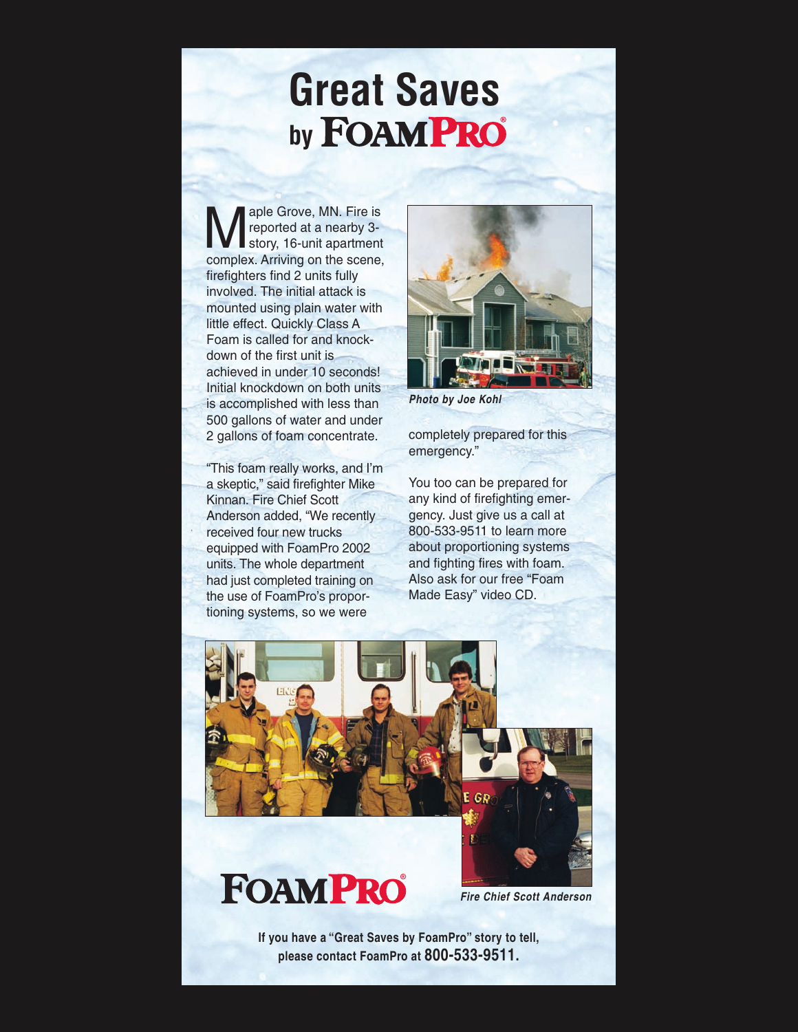## **Great Saves** by **FOAMPRO**

sple Grove, MN. Fire is<br>reported at a nearby 3-<br>story, 16-unit apartment reported at a nearby 3 complex. Arriving on the scene, firefighters find 2 units fully involved. The initial attack is mounted using plain water with little effect. Quickly Class A Foam is called for and knockdown of the first unit is achieved in under 10 seconds! Initial knockdown on both units is accomplished with less than 500 gallons of water and under 2 gallons of foam concentrate.

"This foam really works, and I'm a skeptic," said firefighter Mike Kinnan. Fire Chief Scott Anderson added, "We recently received four new trucks equipped with FoamPro 2002 units. The whole department had just completed training on the use of FoamPro's proportioning systems, so we were



*Photo by Joe Kohl*

completely prepared for this emergency."

You too can be prepared for any kind of firefighting emergency. Just give us a call at 800-533-9511 to learn more about proportioning systems and fighting fires with foam. Also ask for our free "Foam Made Easy" video CD.



**If you have a "Great Saves by FoamPro" story to tell, please contact FoamPro at 800-533-9511.**